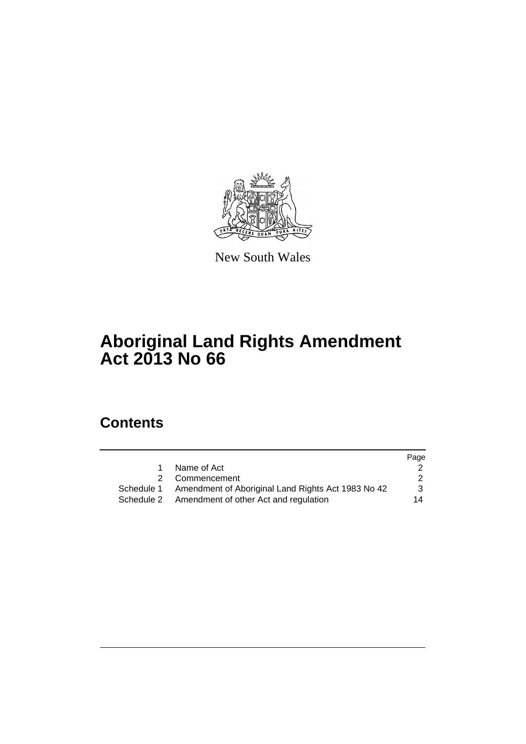

New South Wales

# **Aboriginal Land Rights Amendment Act 2013 No 66**

# **Contents**

|              |                                                               | Page |
|--------------|---------------------------------------------------------------|------|
| $\mathbf{1}$ | Name of Act                                                   |      |
|              | 2 Commencement                                                | 2    |
|              | Schedule 1 Amendment of Aboriginal Land Rights Act 1983 No 42 | 3    |
|              | Schedule 2 Amendment of other Act and regulation              | 14   |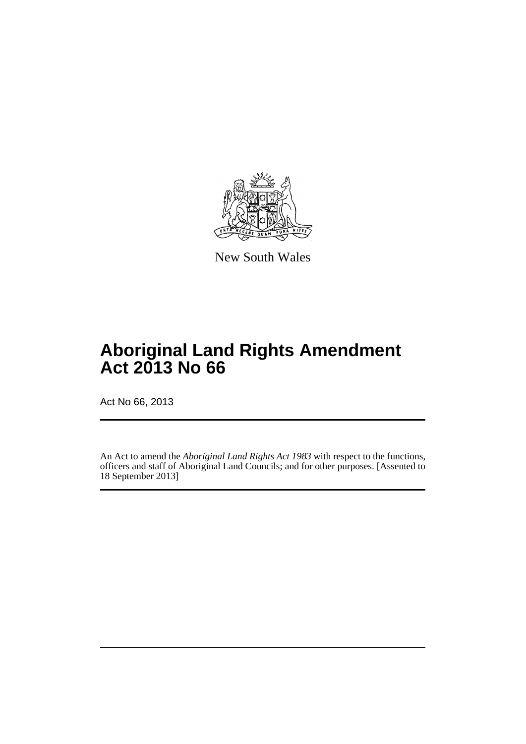

New South Wales

# **Aboriginal Land Rights Amendment Act 2013 No 66**

Act No 66, 2013

An Act to amend the *Aboriginal Land Rights Act 1983* with respect to the functions, officers and staff of Aboriginal Land Councils; and for other purposes. [Assented to 18 September 2013]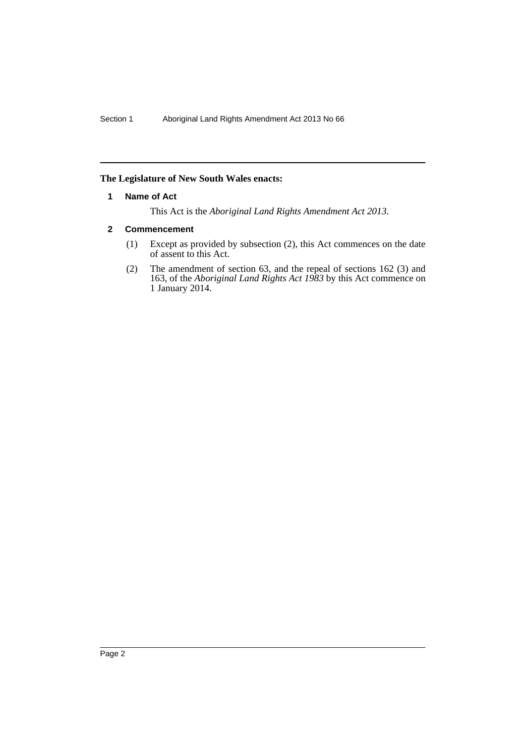# <span id="page-2-0"></span>**The Legislature of New South Wales enacts:**

# **1 Name of Act**

This Act is the *Aboriginal Land Rights Amendment Act 2013*.

# <span id="page-2-1"></span>**2 Commencement**

- (1) Except as provided by subsection (2), this Act commences on the date of assent to this Act.
- (2) The amendment of section 63, and the repeal of sections 162 (3) and 163, of the *Aboriginal Land Rights Act 1983* by this Act commence on 1 January 2014.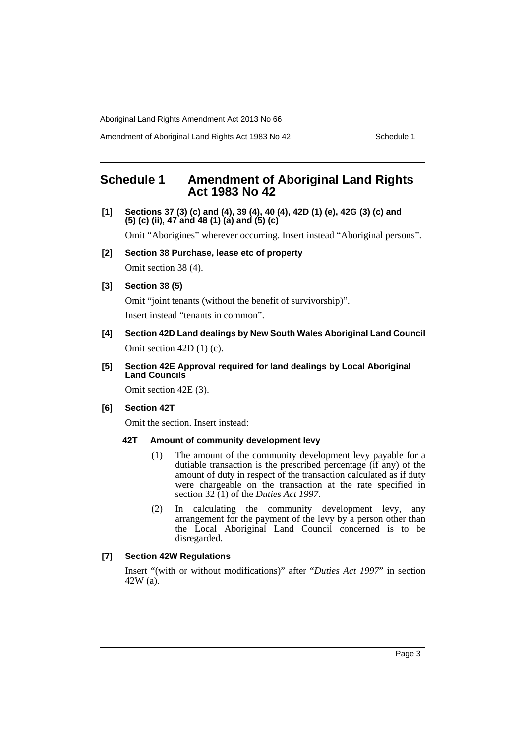Amendment of Aboriginal Land Rights Act 1983 No 42 Schedule 1

# <span id="page-3-0"></span>**Schedule 1 Amendment of Aboriginal Land Rights Act 1983 No 42**

**[1] Sections 37 (3) (c) and (4), 39 (4), 40 (4), 42D (1) (e), 42G (3) (c) and (5) (c) (ii), 47 and 48 (1) (a) and (5) (c)**

Omit "Aborigines" wherever occurring. Insert instead "Aboriginal persons".

**[2] Section 38 Purchase, lease etc of property**

Omit section 38 (4).

# **[3] Section 38 (5)**

Omit "joint tenants (without the benefit of survivorship)". Insert instead "tenants in common".

**[4] Section 42D Land dealings by New South Wales Aboriginal Land Council** Omit section 42D (1) (c).

### **[5] Section 42E Approval required for land dealings by Local Aboriginal Land Councils**

Omit section 42E (3).

# **[6] Section 42T**

Omit the section. Insert instead:

# **42T Amount of community development levy**

- (1) The amount of the community development levy payable for a dutiable transaction is the prescribed percentage (if any) of the amount of duty in respect of the transaction calculated as if duty were chargeable on the transaction at the rate specified in section 32 (1) of the *Duties Act 1997*.
- (2) In calculating the community development levy, any arrangement for the payment of the levy by a person other than the Local Aboriginal Land Council concerned is to be disregarded.

# **[7] Section 42W Regulations**

Insert "(with or without modifications)" after "*Duties Act 1997*" in section 42W (a).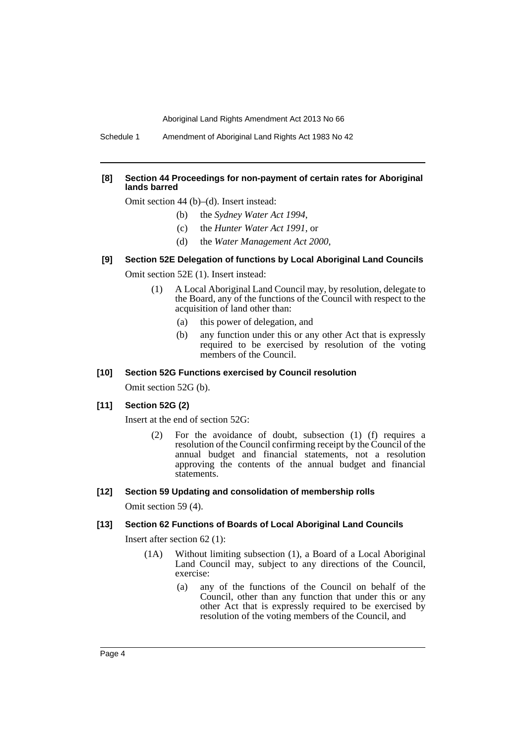Schedule 1 Amendment of Aboriginal Land Rights Act 1983 No 42

#### **[8] Section 44 Proceedings for non-payment of certain rates for Aboriginal lands barred**

Omit section 44 (b)–(d). Insert instead:

- (b) the *Sydney Water Act 1994*,
- (c) the *Hunter Water Act 1991*, or
- (d) the *Water Management Act 2000*,

#### **[9] Section 52E Delegation of functions by Local Aboriginal Land Councils**

Omit section 52E (1). Insert instead:

- (1) A Local Aboriginal Land Council may, by resolution, delegate to the Board, any of the functions of the Council with respect to the acquisition of land other than:
	- (a) this power of delegation, and
	- (b) any function under this or any other Act that is expressly required to be exercised by resolution of the voting members of the Council.

#### **[10] Section 52G Functions exercised by Council resolution**

Omit section 52G (b).

#### **[11] Section 52G (2)**

Insert at the end of section 52G:

(2) For the avoidance of doubt, subsection (1) (f) requires a resolution of the Council confirming receipt by the Council of the annual budget and financial statements, not a resolution approving the contents of the annual budget and financial statements.

#### **[12] Section 59 Updating and consolidation of membership rolls**

Omit section 59 (4).

#### **[13] Section 62 Functions of Boards of Local Aboriginal Land Councils**

Insert after section 62 (1):

- (1A) Without limiting subsection (1), a Board of a Local Aboriginal Land Council may, subject to any directions of the Council, exercise:
	- (a) any of the functions of the Council on behalf of the Council, other than any function that under this or any other Act that is expressly required to be exercised by resolution of the voting members of the Council, and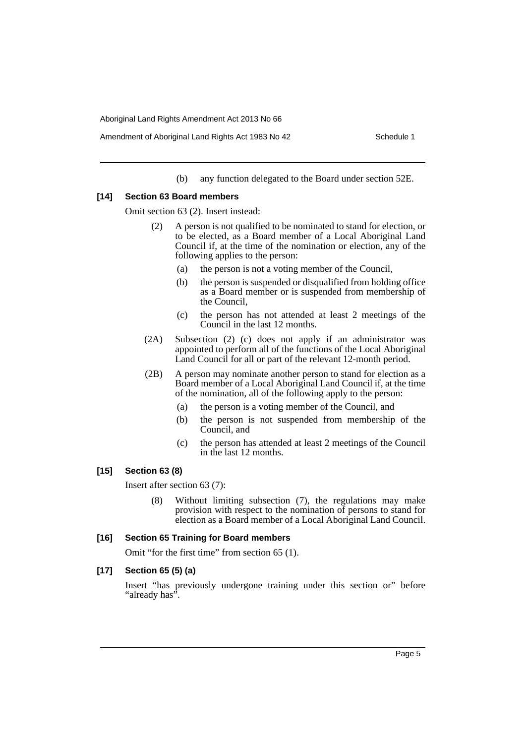(b) any function delegated to the Board under section 52E.

#### **[14] Section 63 Board members**

Omit section 63 (2). Insert instead:

- (2) A person is not qualified to be nominated to stand for election, or to be elected, as a Board member of a Local Aboriginal Land Council if, at the time of the nomination or election, any of the following applies to the person:
	- (a) the person is not a voting member of the Council,
	- (b) the person is suspended or disqualified from holding office as a Board member or is suspended from membership of the Council,
	- (c) the person has not attended at least 2 meetings of the Council in the last 12 months.
- (2A) Subsection (2) (c) does not apply if an administrator was appointed to perform all of the functions of the Local Aboriginal Land Council for all or part of the relevant 12-month period.
- (2B) A person may nominate another person to stand for election as a Board member of a Local Aboriginal Land Council if, at the time of the nomination, all of the following apply to the person:
	- (a) the person is a voting member of the Council, and
	- (b) the person is not suspended from membership of the Council, and
	- (c) the person has attended at least 2 meetings of the Council in the last 12 months.

# **[15] Section 63 (8)**

Insert after section 63 (7):

Without limiting subsection (7), the regulations may make provision with respect to the nomination of persons to stand for election as a Board member of a Local Aboriginal Land Council.

#### **[16] Section 65 Training for Board members**

Omit "for the first time" from section 65 (1).

## **[17] Section 65 (5) (a)**

Insert "has previously undergone training under this section or" before "already has".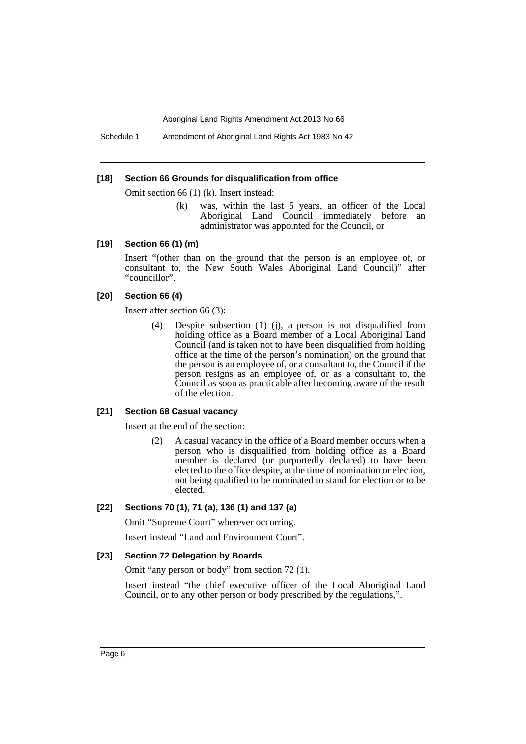Schedule 1 Amendment of Aboriginal Land Rights Act 1983 No 42

#### **[18] Section 66 Grounds for disqualification from office**

Omit section 66 (1) (k). Insert instead:

(k) was, within the last 5 years, an officer of the Local Aboriginal Land Council immediately before an administrator was appointed for the Council, or

#### **[19] Section 66 (1) (m)**

Insert "(other than on the ground that the person is an employee of, or consultant to, the New South Wales Aboriginal Land Council)" after "councillor".

### **[20] Section 66 (4)**

Insert after section 66 (3):

(4) Despite subsection (1) (j), a person is not disqualified from holding office as a Board member of a Local Aboriginal Land Council (and is taken not to have been disqualified from holding office at the time of the person's nomination) on the ground that the person is an employee of, or a consultant to, the Council if the person resigns as an employee of, or as a consultant to, the Council as soon as practicable after becoming aware of the result of the election.

#### **[21] Section 68 Casual vacancy**

Insert at the end of the section:

(2) A casual vacancy in the office of a Board member occurs when a person who is disqualified from holding office as a Board member is declared (or purportedly declared) to have been elected to the office despite, at the time of nomination or election, not being qualified to be nominated to stand for election or to be elected.

# **[22] Sections 70 (1), 71 (a), 136 (1) and 137 (a)**

Omit "Supreme Court" wherever occurring.

Insert instead "Land and Environment Court".

#### **[23] Section 72 Delegation by Boards**

Omit "any person or body" from section 72 (1).

Insert instead "the chief executive officer of the Local Aboriginal Land Council, or to any other person or body prescribed by the regulations,".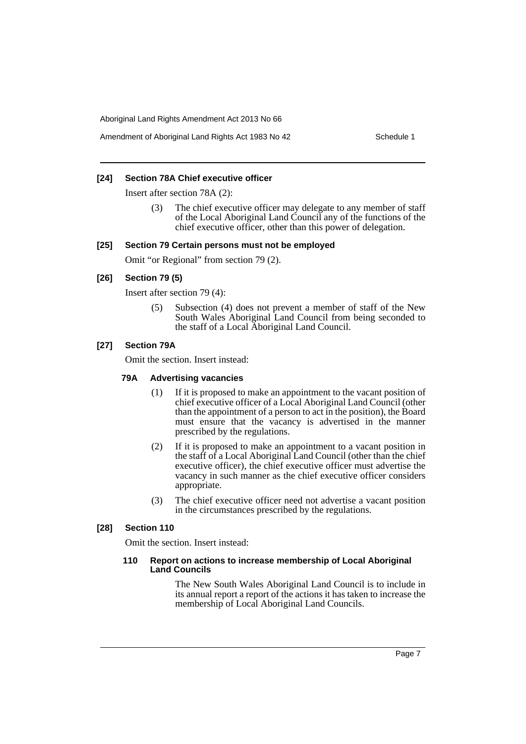#### **[24] Section 78A Chief executive officer**

Insert after section 78A (2):

The chief executive officer may delegate to any member of staff of the Local Aboriginal Land Council any of the functions of the chief executive officer, other than this power of delegation.

#### **[25] Section 79 Certain persons must not be employed**

Omit "or Regional" from section 79 (2).

# **[26] Section 79 (5)**

Insert after section 79 (4):

(5) Subsection (4) does not prevent a member of staff of the New South Wales Aboriginal Land Council from being seconded to the staff of a Local Aboriginal Land Council.

# **[27] Section 79A**

Omit the section. Insert instead:

#### **79A Advertising vacancies**

- (1) If it is proposed to make an appointment to the vacant position of chief executive officer of a Local Aboriginal Land Council (other than the appointment of a person to act in the position), the Board must ensure that the vacancy is advertised in the manner prescribed by the regulations.
- (2) If it is proposed to make an appointment to a vacant position in the staff of a Local Aboriginal Land Council (other than the chief executive officer), the chief executive officer must advertise the vacancy in such manner as the chief executive officer considers appropriate.
- (3) The chief executive officer need not advertise a vacant position in the circumstances prescribed by the regulations.

# **[28] Section 110**

Omit the section. Insert instead:

#### **110 Report on actions to increase membership of Local Aboriginal Land Councils**

The New South Wales Aboriginal Land Council is to include in its annual report a report of the actions it has taken to increase the membership of Local Aboriginal Land Councils.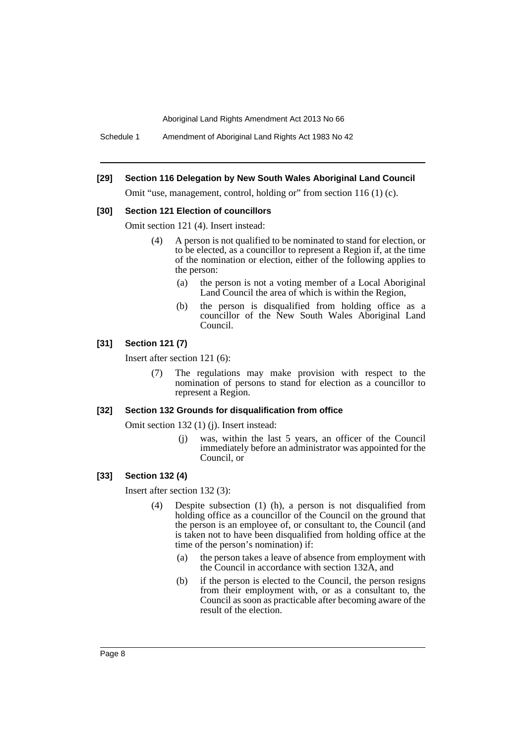Schedule 1 Amendment of Aboriginal Land Rights Act 1983 No 42

#### **[29] Section 116 Delegation by New South Wales Aboriginal Land Council**

Omit "use, management, control, holding or" from section 116 (1) (c).

#### **[30] Section 121 Election of councillors**

Omit section 121 (4). Insert instead:

- (4) A person is not qualified to be nominated to stand for election, or to be elected, as a councillor to represent a Region if, at the time of the nomination or election, either of the following applies to the person:
	- (a) the person is not a voting member of a Local Aboriginal Land Council the area of which is within the Region,
	- (b) the person is disqualified from holding office as a councillor of the New South Wales Aboriginal Land Council.

# **[31] Section 121 (7)**

Insert after section 121 (6):

(7) The regulations may make provision with respect to the nomination of persons to stand for election as a councillor to represent a Region.

# **[32] Section 132 Grounds for disqualification from office**

Omit section 132 (1) (j). Insert instead:

(j) was, within the last 5 years, an officer of the Council immediately before an administrator was appointed for the Council, or

#### **[33] Section 132 (4)**

Insert after section 132 (3):

- (4) Despite subsection (1) (h), a person is not disqualified from holding office as a councillor of the Council on the ground that the person is an employee of, or consultant to, the Council (and is taken not to have been disqualified from holding office at the time of the person's nomination) if:
	- (a) the person takes a leave of absence from employment with the Council in accordance with section 132A, and
	- (b) if the person is elected to the Council, the person resigns from their employment with, or as a consultant to, the Council as soon as practicable after becoming aware of the result of the election.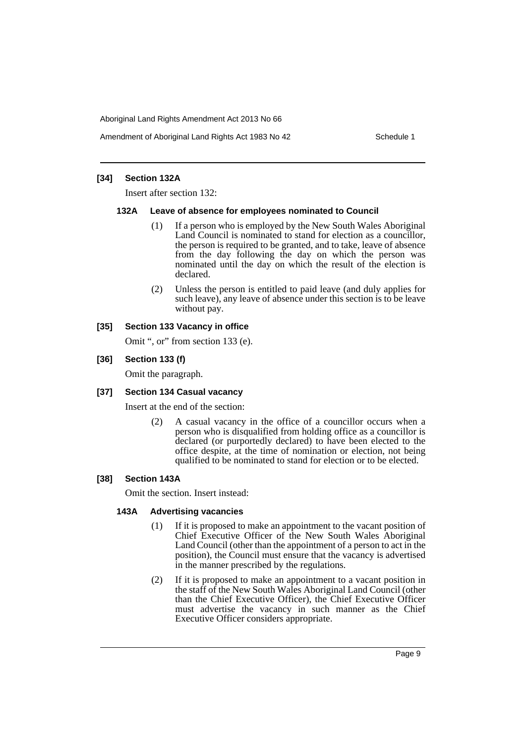Amendment of Aboriginal Land Rights Act 1983 No 42 Schedule 1

# **[34] Section 132A**

Insert after section 132:

#### **132A Leave of absence for employees nominated to Council**

- (1) If a person who is employed by the New South Wales Aboriginal Land Council is nominated to stand for election as a councillor, the person is required to be granted, and to take, leave of absence from the day following the day on which the person was nominated until the day on which the result of the election is declared.
- (2) Unless the person is entitled to paid leave (and duly applies for such leave), any leave of absence under this section is to be leave without pay.

## **[35] Section 133 Vacancy in office**

Omit ", or" from section 133 (e).

# **[36] Section 133 (f)**

Omit the paragraph.

#### **[37] Section 134 Casual vacancy**

Insert at the end of the section:

(2) A casual vacancy in the office of a councillor occurs when a person who is disqualified from holding office as a councillor is declared (or purportedly declared) to have been elected to the office despite, at the time of nomination or election, not being qualified to be nominated to stand for election or to be elected.

#### **[38] Section 143A**

Omit the section. Insert instead:

#### **143A Advertising vacancies**

- (1) If it is proposed to make an appointment to the vacant position of Chief Executive Officer of the New South Wales Aboriginal Land Council (other than the appointment of a person to act in the position), the Council must ensure that the vacancy is advertised in the manner prescribed by the regulations.
- (2) If it is proposed to make an appointment to a vacant position in the staff of the New South Wales Aboriginal Land Council (other than the Chief Executive Officer), the Chief Executive Officer must advertise the vacancy in such manner as the Chief Executive Officer considers appropriate.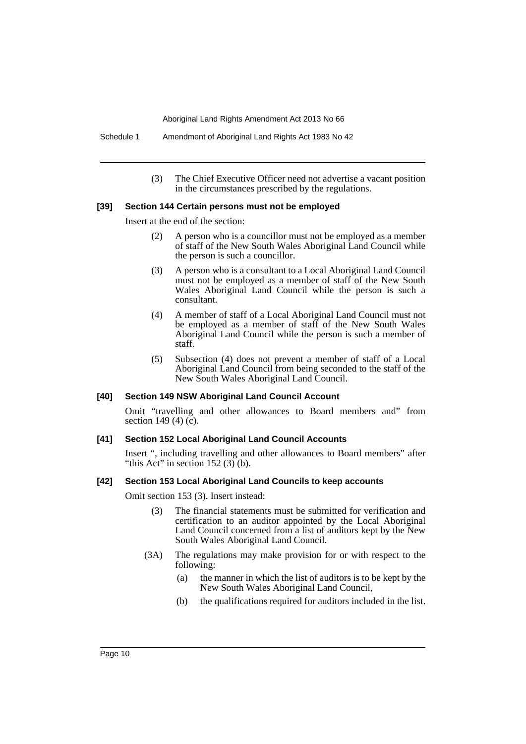Schedule 1 Amendment of Aboriginal Land Rights Act 1983 No 42

(3) The Chief Executive Officer need not advertise a vacant position in the circumstances prescribed by the regulations.

#### **[39] Section 144 Certain persons must not be employed**

Insert at the end of the section:

- (2) A person who is a councillor must not be employed as a member of staff of the New South Wales Aboriginal Land Council while the person is such a councillor.
- (3) A person who is a consultant to a Local Aboriginal Land Council must not be employed as a member of staff of the New South Wales Aboriginal Land Council while the person is such a consultant.
- (4) A member of staff of a Local Aboriginal Land Council must not be employed as a member of staff of the New South Wales Aboriginal Land Council while the person is such a member of staff.
- (5) Subsection (4) does not prevent a member of staff of a Local Aboriginal Land Council from being seconded to the staff of the New South Wales Aboriginal Land Council.

#### **[40] Section 149 NSW Aboriginal Land Council Account**

Omit "travelling and other allowances to Board members and" from section 149 (4) (c).

#### **[41] Section 152 Local Aboriginal Land Council Accounts**

Insert ", including travelling and other allowances to Board members" after "this Act" in section  $152(3)$  (b).

#### **[42] Section 153 Local Aboriginal Land Councils to keep accounts**

Omit section 153 (3). Insert instead:

- (3) The financial statements must be submitted for verification and certification to an auditor appointed by the Local Aboriginal Land Council concerned from a list of auditors kept by the New South Wales Aboriginal Land Council.
- (3A) The regulations may make provision for or with respect to the following:
	- (a) the manner in which the list of auditors is to be kept by the New South Wales Aboriginal Land Council,
	- (b) the qualifications required for auditors included in the list.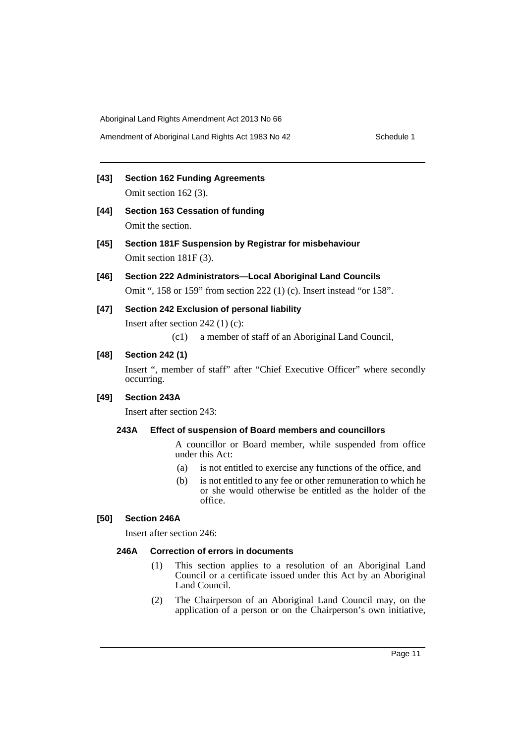**[43] Section 162 Funding Agreements** Omit section 162 (3).

- **[44] Section 163 Cessation of funding** Omit the section.
- **[45] Section 181F Suspension by Registrar for misbehaviour** Omit section 181F (3).
- **[46] Section 222 Administrators—Local Aboriginal Land Councils** Omit ", 158 or 159" from section 222 (1) (c). Insert instead "or 158".
- **[47] Section 242 Exclusion of personal liability**

Insert after section 242 (1) (c):

(c1) a member of staff of an Aboriginal Land Council,

# **[48] Section 242 (1)**

Insert ", member of staff" after "Chief Executive Officer" where secondly occurring.

# **[49] Section 243A**

Insert after section 243:

# **243A Effect of suspension of Board members and councillors**

A councillor or Board member, while suspended from office under this Act:

- (a) is not entitled to exercise any functions of the office, and
- (b) is not entitled to any fee or other remuneration to which he or she would otherwise be entitled as the holder of the office.

# **[50] Section 246A**

Insert after section 246:

#### **246A Correction of errors in documents**

- (1) This section applies to a resolution of an Aboriginal Land Council or a certificate issued under this Act by an Aboriginal Land Council.
- (2) The Chairperson of an Aboriginal Land Council may, on the application of a person or on the Chairperson's own initiative,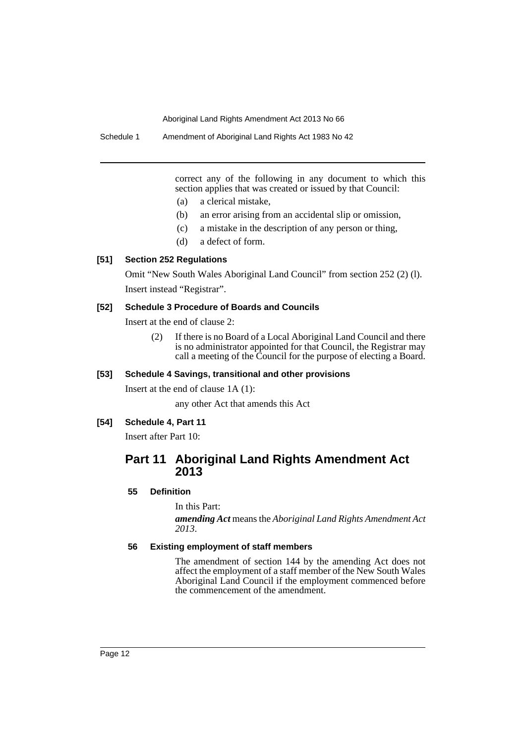correct any of the following in any document to which this section applies that was created or issued by that Council:

- (a) a clerical mistake,
- (b) an error arising from an accidental slip or omission,
- (c) a mistake in the description of any person or thing,
- (d) a defect of form.

# **[51] Section 252 Regulations**

Omit "New South Wales Aboriginal Land Council" from section 252 (2) (l). Insert instead "Registrar".

#### **[52] Schedule 3 Procedure of Boards and Councils**

Insert at the end of clause 2:

(2) If there is no Board of a Local Aboriginal Land Council and there is no administrator appointed for that Council, the Registrar may call a meeting of the Council for the purpose of electing a Board.

# **[53] Schedule 4 Savings, transitional and other provisions**

Insert at the end of clause 1A (1):

any other Act that amends this Act

# **[54] Schedule 4, Part 11**

Insert after Part 10:

# **Part 11 Aboriginal Land Rights Amendment Act 2013**

# **55 Definition**

In this Part:

*amending Act* means the *Aboriginal Land Rights Amendment Act 2013*.

# **56 Existing employment of staff members**

The amendment of section 144 by the amending Act does not affect the employment of a staff member of the New South Wales Aboriginal Land Council if the employment commenced before the commencement of the amendment.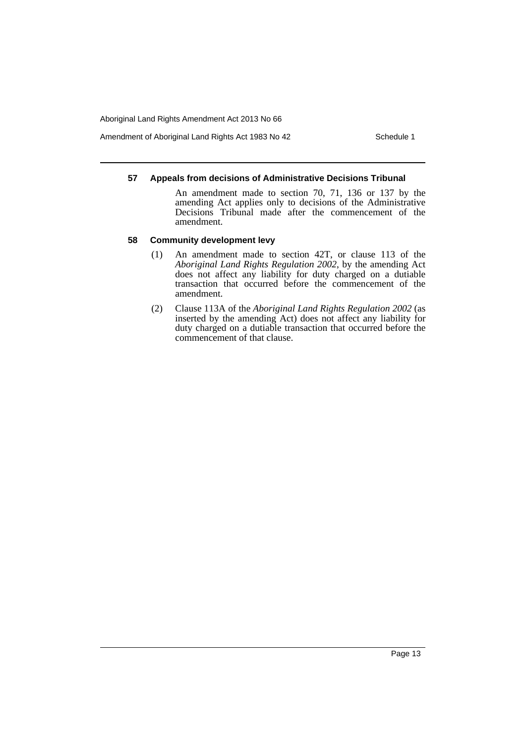Amendment of Aboriginal Land Rights Act 1983 No 42 Schedule 1

### **57 Appeals from decisions of Administrative Decisions Tribunal**

An amendment made to section 70, 71, 136 or 137 by the amending Act applies only to decisions of the Administrative Decisions Tribunal made after the commencement of the amendment.

# **58 Community development levy**

- (1) An amendment made to section 42T, or clause 113 of the *Aboriginal Land Rights Regulation 2002*, by the amending Act does not affect any liability for duty charged on a dutiable transaction that occurred before the commencement of the amendment.
- (2) Clause 113A of the *Aboriginal Land Rights Regulation 2002* (as inserted by the amending Act) does not affect any liability for duty charged on a dutiable transaction that occurred before the commencement of that clause.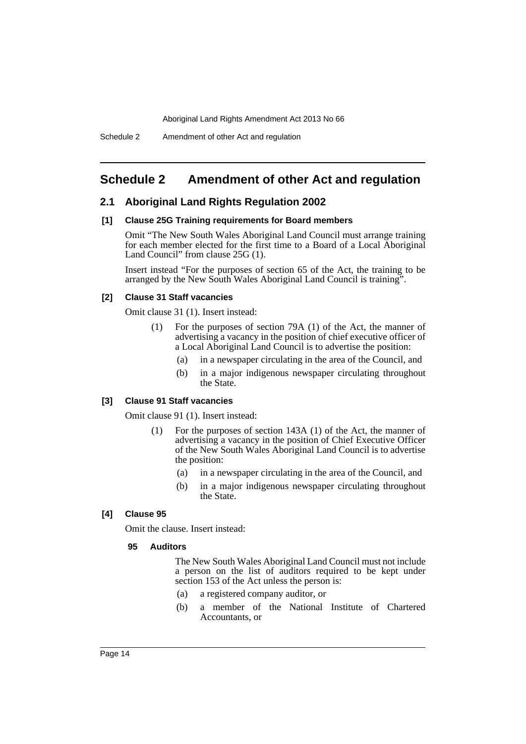# <span id="page-14-0"></span>**Schedule 2 Amendment of other Act and regulation**

# **2.1 Aboriginal Land Rights Regulation 2002**

#### **[1] Clause 25G Training requirements for Board members**

Omit "The New South Wales Aboriginal Land Council must arrange training for each member elected for the first time to a Board of a Local Aboriginal Land Council" from clause 25G (1).

Insert instead "For the purposes of section 65 of the Act, the training to be arranged by the New South Wales Aboriginal Land Council is training".

### **[2] Clause 31 Staff vacancies**

Omit clause 31 (1). Insert instead:

- (1) For the purposes of section 79A (1) of the Act, the manner of advertising a vacancy in the position of chief executive officer of a Local Aboriginal Land Council is to advertise the position:
	- (a) in a newspaper circulating in the area of the Council, and
	- (b) in a major indigenous newspaper circulating throughout the State.

# **[3] Clause 91 Staff vacancies**

Omit clause 91 (1). Insert instead:

- (1) For the purposes of section 143A (1) of the Act, the manner of advertising a vacancy in the position of Chief Executive Officer of the New South Wales Aboriginal Land Council is to advertise the position:
	- (a) in a newspaper circulating in the area of the Council, and
	- (b) in a major indigenous newspaper circulating throughout the State.

### **[4] Clause 95**

Omit the clause. Insert instead:

#### **95 Auditors**

The New South Wales Aboriginal Land Council must not include a person on the list of auditors required to be kept under section 153 of the Act unless the person is:

- (a) a registered company auditor, or
- (b) a member of the National Institute of Chartered Accountants, or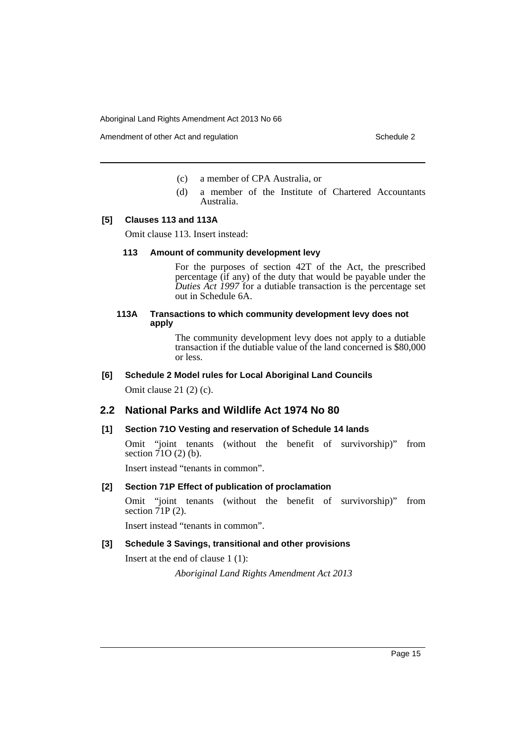Amendment of other Act and regulation Schedule 2

- (c) a member of CPA Australia, or
- (d) a member of the Institute of Chartered Accountants Australia.

#### **[5] Clauses 113 and 113A**

Omit clause 113. Insert instead:

#### **113 Amount of community development levy**

For the purposes of section 42T of the Act, the prescribed percentage (if any) of the duty that would be payable under the *Duties Act 1997* for a dutiable transaction is the percentage set out in Schedule 6A.

# **113A Transactions to which community development levy does not apply**

The community development levy does not apply to a dutiable transaction if the dutiable value of the land concerned is \$80,000 or less.

#### **[6] Schedule 2 Model rules for Local Aboriginal Land Councils**

Omit clause 21 (2) (c).

# **2.2 National Parks and Wildlife Act 1974 No 80**

#### **[1] Section 71O Vesting and reservation of Schedule 14 lands**

Omit "joint tenants (without the benefit of survivorship)" from section  $71O(2)$  (b).

Insert instead "tenants in common".

#### **[2] Section 71P Effect of publication of proclamation**

Omit "joint tenants (without the benefit of survivorship)" from section  $\tilde{7}$  IP (2).

Insert instead "tenants in common".

### **[3] Schedule 3 Savings, transitional and other provisions**

Insert at the end of clause 1 (1):

*Aboriginal Land Rights Amendment Act 2013*